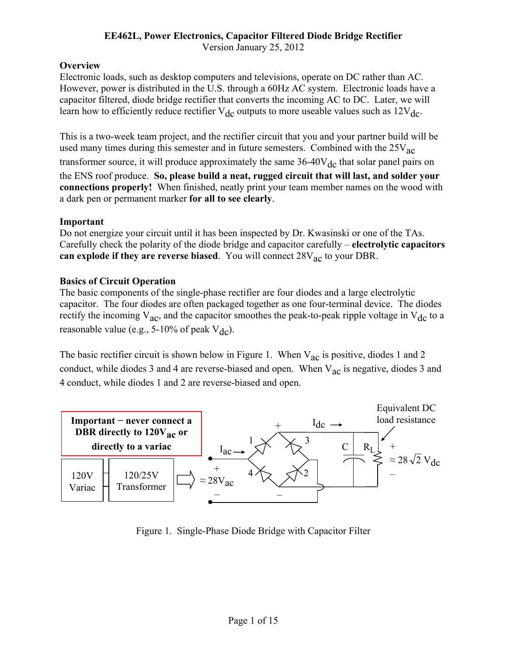# **EE462L, Power Electronics, Capacitor Filtered Diode Bridge Rectifier**

### Version January 25, 2012

## **Overview**

Electronic loads, such as desktop computers and televisions, operate on DC rather than AC. However, power is distributed in the U.S. through a 60Hz AC system. Electronic loads have a capacitor filtered, diode bridge rectifier that converts the incoming AC to DC. Later, we will learn how to efficiently reduce rectifier  $V_{dc}$  outputs to more useable values such as  $12V_{dc}$ .

This is a two-week team project, and the rectifier circuit that you and your partner build will be used many times during this semester and in future semesters. Combined with the  $25V_{AC}$ transformer source, it will produce approximately the same  $36-40V_{dc}$  that solar panel pairs on the ENS roof produce. **So, please build a neat, rugged circuit that will last, and solder your connections properly!** When finished, neatly print your team member names on the wood with a dark pen or permanent marker **for all to see clearly**.

## **Important**

Do not energize your circuit until it has been inspected by Dr. Kwasinski or one of the TAs. Carefully check the polarity of the diode bridge and capacitor carefully – **electrolytic capacitors can explode if they are reverse biased**. You will connect  $28V_{ac}$  to your DBR.

## **Basics of Circuit Operation**

The basic components of the single-phase rectifier are four diodes and a large electrolytic capacitor. The four diodes are often packaged together as one four-terminal device. The diodes rectify the incoming  $V_{ac}$ , and the capacitor smoothes the peak-to-peak ripple voltage in  $V_{dc}$  to a reasonable value (e.g.,  $5-10\%$  of peak  $V_{dc}$ ).

The basic rectifier circuit is shown below in Figure 1. When  $V_{ac}$  is positive, diodes 1 and 2 conduct, while diodes 3 and 4 are reverse-biased and open. When  $V_{ac}$  is negative, diodes 3 and 4 conduct, while diodes 1 and 2 are reverse-biased and open.



Figure 1. Single-Phase Diode Bridge with Capacitor Filter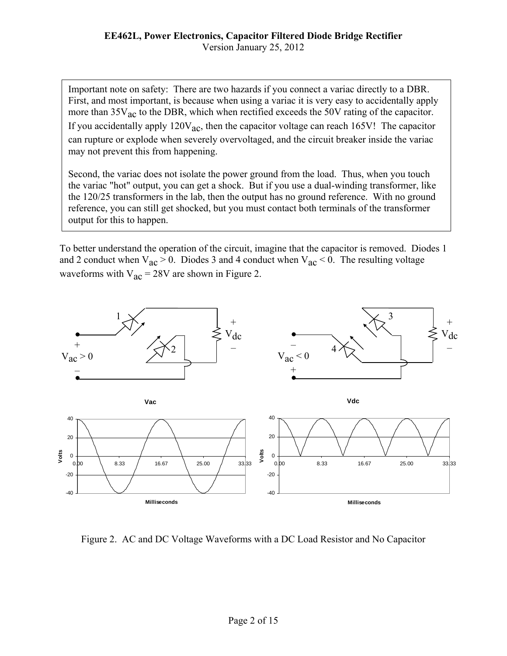Important note on safety: There are two hazards if you connect a variac directly to a DBR. First, and most important, is because when using a variac it is very easy to accidentally apply more than  $35V_{ac}$  to the DBR, which when rectified exceeds the 50V rating of the capacitor. If you accidentally apply  $120V_{ac}$ , then the capacitor voltage can reach 165V! The capacitor can rupture or explode when severely overvoltaged, and the circuit breaker inside the variac may not prevent this from happening.

Second, the variac does not isolate the power ground from the load. Thus, when you touch the variac "hot" output, you can get a shock. But if you use a dual-winding transformer, like the 120/25 transformers in the lab, then the output has no ground reference. With no ground reference, you can still get shocked, but you must contact both terminals of the transformer output for this to happen.

To better understand the operation of the circuit, imagine that the capacitor is removed. Diodes 1 and 2 conduct when  $V_{ac} > 0$ . Diodes 3 and 4 conduct when  $V_{ac} < 0$ . The resulting voltage waveforms with  $V_{ac} = 28V$  are shown in Figure 2.



Figure 2. AC and DC Voltage Waveforms with a DC Load Resistor and No Capacitor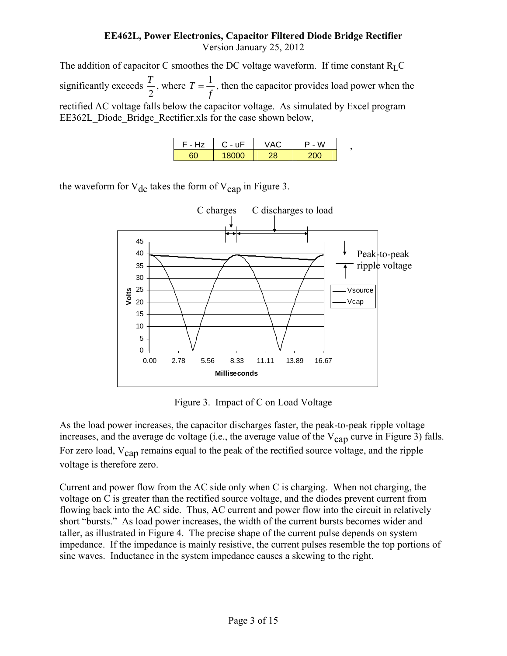The addition of capacitor C smoothes the DC voltage waveform. If time constant  $R<sub>L</sub>$ C significantly exceeds  $\frac{T}{2}$ , where  $T = \frac{1}{f}$ , then the capacitor provides load power when the rectified AC voltage falls below the capacitor voltage. As simulated by Excel program EE362L\_Diode\_Bridge\_Rectifier.xls for the case shown below,

| F - Hz | $C - uF$ | W    |  |
|--------|----------|------|--|
|        | וזווא    | 21 M |  |

the waveform for  $V_{dc}$  takes the form of  $V_{can}$  in Figure 3.



Figure 3. Impact of C on Load Voltage

As the load power increases, the capacitor discharges faster, the peak-to-peak ripple voltage increases, and the average dc voltage (i.e., the average value of the  $V_{\text{cap}}$  curve in Figure 3) falls. For zero load, V<sub>cap</sub> remains equal to the peak of the rectified source voltage, and the ripple voltage is therefore zero.

Current and power flow from the AC side only when C is charging. When not charging, the voltage on C is greater than the rectified source voltage, and the diodes prevent current from flowing back into the AC side. Thus, AC current and power flow into the circuit in relatively short "bursts." As load power increases, the width of the current bursts becomes wider and taller, as illustrated in Figure 4. The precise shape of the current pulse depends on system impedance. If the impedance is mainly resistive, the current pulses resemble the top portions of sine waves. Inductance in the system impedance causes a skewing to the right.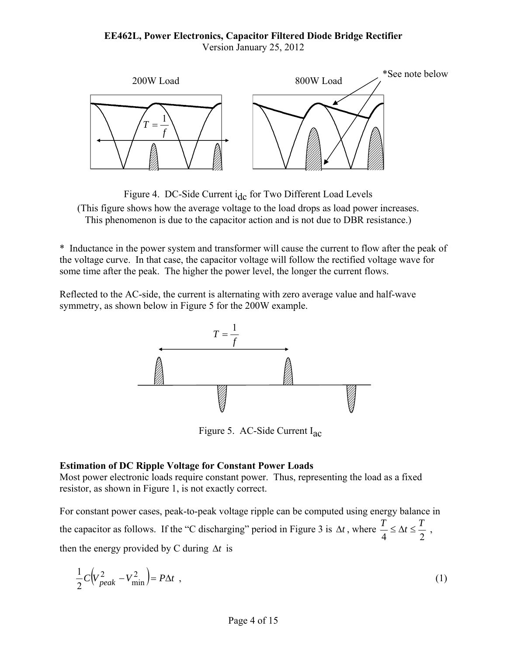

Figure 4. DC-Side Current i<sub>dc</sub> for Two Different Load Levels (This figure shows how the average voltage to the load drops as load power increases. This phenomenon is due to the capacitor action and is not due to DBR resistance.)

\* Inductance in the power system and transformer will cause the current to flow after the peak of the voltage curve. In that case, the capacitor voltage will follow the rectified voltage wave for some time after the peak. The higher the power level, the longer the current flows.

Reflected to the AC-side, the current is alternating with zero average value and half-wave symmetry, as shown below in Figure 5 for the 200W example.



Figure 5. AC-Side Current Iac

### **Estimation of DC Ripple Voltage for Constant Power Loads**

Most power electronic loads require constant power. Thus, representing the load as a fixed resistor, as shown in Figure 1, is not exactly correct.

For constant power cases, peak-to-peak voltage ripple can be computed using energy balance in the capacitor as follows. If the "C discharging" period in Figure 3 is  $\Delta t$ , where  $\frac{T}{4} \leq \Delta t \leq \frac{T}{2}$ , then the energy provided by C during  $\Delta t$  is

$$
\frac{1}{2}C\left(V_{peak}^2 - V_{\text{min}}^2\right) = P\Delta t \tag{1}
$$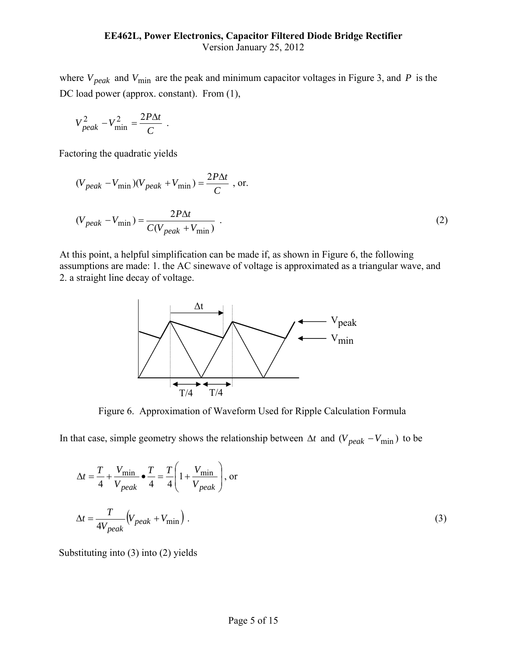where  $V_{peak}$  and  $V_{min}$  are the peak and minimum capacitor voltages in Figure 3, and *P* is the DC load power (approx. constant). From  $(1)$ ,

$$
V_{peak}^2 - V_{\text{min}}^2 = \frac{2P\Delta t}{C} \ .
$$

Factoring the quadratic yields

$$
(V_{peak} - V_{\min})(V_{peak} + V_{\min}) = \frac{2P\Delta t}{C}
$$
, or.  

$$
(V_{peak} - V_{\min}) = \frac{2P\Delta t}{C(V_{peak} + V_{\min})}
$$
 (2)

At this point, a helpful simplification can be made if, as shown in Figure 6, the following assumptions are made: 1. the AC sinewave of voltage is approximated as a triangular wave, and 2. a straight line decay of voltage.



Figure 6. Approximation of Waveform Used for Ripple Calculation Formula

In that case, simple geometry shows the relationship between  $\Delta t$  and  $(V_{peak} - V_{min})$  to be

$$
\Delta t = \frac{T}{4} + \frac{V_{\text{min}}}{V_{peak}} \bullet \frac{T}{4} = \frac{T}{4} \left( 1 + \frac{V_{\text{min}}}{V_{peak}} \right), \text{ or}
$$

$$
\Delta t = \frac{T}{4V_{peak}} \left( V_{peak} + V_{\text{min}} \right).
$$
 (3)

Substituting into (3) into (2) yields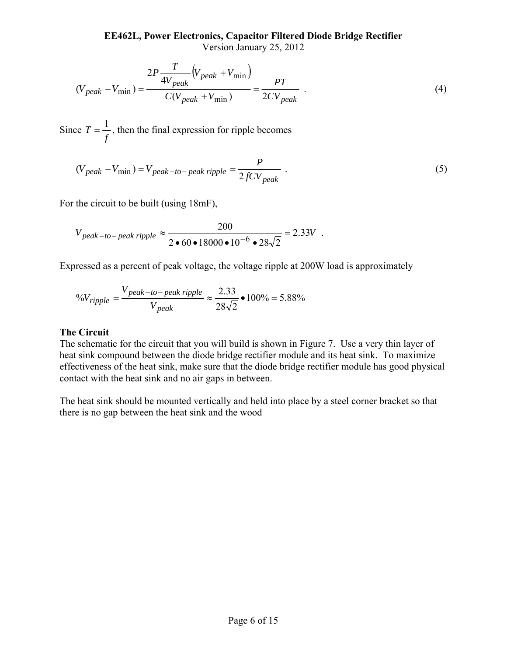$$
(V_{peak} - V_{\min}) = \frac{2P\frac{T}{4V_{peak}}(V_{peak} + V_{\min})}{C(V_{peak} + V_{\min})} = \frac{PT}{2CV_{peak}}.
$$
\n(4)

Since *f*  $T = \frac{1}{a}$ , then the final expression for ripple becomes

$$
(V_{peak} - V_{\text{min}}) = V_{peak-to-peak\ ripple} = \frac{P}{2fCV_{peak}} \tag{5}
$$

For the circuit to be built (using 18mF),

$$
V_{peak-to-peak\ nipple} \approx \frac{200}{2 \cdot 60 \cdot 18000 \cdot 10^{-6} \cdot 28\sqrt{2}} = 2.33V
$$
.

Expressed as a percent of peak voltage, the voltage ripple at 200W load is approximately

<sup>9</sup>
$$
\sqrt{V}
$$
<sub>righte</sub> =  $\frac{V_{peak-to-peak\ ripple}}{V_{peak}} \approx \frac{2.33}{28\sqrt{2}}$   $\bullet$  100% = 5.88%

### **The Circuit**

The schematic for the circuit that you will build is shown in Figure 7. Use a very thin layer of heat sink compound between the diode bridge rectifier module and its heat sink. To maximize effectiveness of the heat sink, make sure that the diode bridge rectifier module has good physical contact with the heat sink and no air gaps in between.

The heat sink should be mounted vertically and held into place by a steel corner bracket so that there is no gap between the heat sink and the wood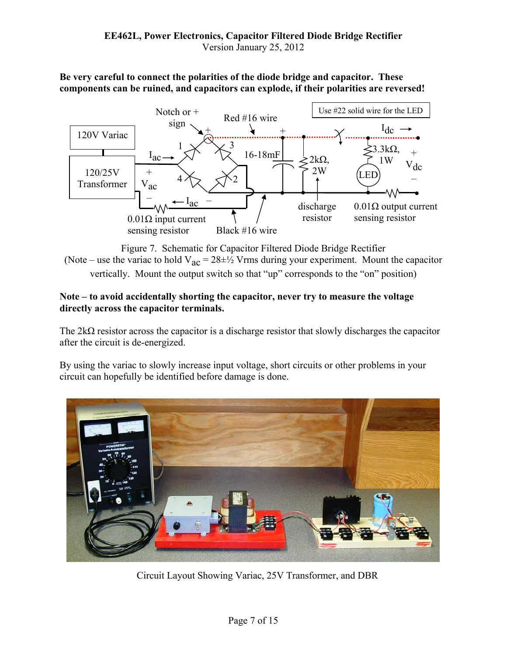**Be very careful to connect the polarities of the diode bridge and capacitor. These components can be ruined, and capacitors can explode, if their polarities are reversed!** 



Figure 7. Schematic for Capacitor Filtered Diode Bridge Rectifier (Note – use the variac to hold  $V_{ac} = 28 \pm \frac{1}{2}$  Vrms during your experiment. Mount the capacitor vertically. Mount the output switch so that "up" corresponds to the "on" position)

## **Note – to avoid accidentally shorting the capacitor, never try to measure the voltage directly across the capacitor terminals.**

The  $2k\Omega$  resistor across the capacitor is a discharge resistor that slowly discharges the capacitor after the circuit is de-energized.

By using the variac to slowly increase input voltage, short circuits or other problems in your circuit can hopefully be identified before damage is done.



Circuit Layout Showing Variac, 25V Transformer, and DBR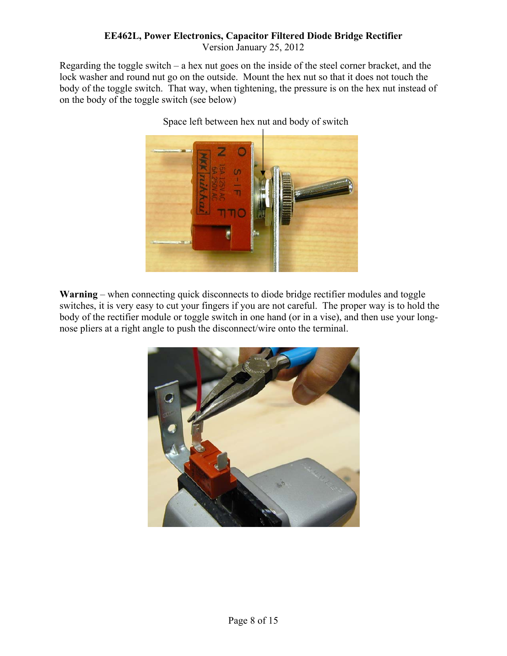# **EE462L, Power Electronics, Capacitor Filtered Diode Bridge Rectifier**

Version January 25, 2012

Regarding the toggle switch – a hex nut goes on the inside of the steel corner bracket, and the lock washer and round nut go on the outside. Mount the hex nut so that it does not touch the body of the toggle switch. That way, when tightening, the pressure is on the hex nut instead of on the body of the toggle switch (see below)



Space left between hex nut and body of switch

**Warning** – when connecting quick disconnects to diode bridge rectifier modules and toggle switches, it is very easy to cut your fingers if you are not careful. The proper way is to hold the body of the rectifier module or toggle switch in one hand (or in a vise), and then use your longnose pliers at a right angle to push the disconnect/wire onto the terminal.

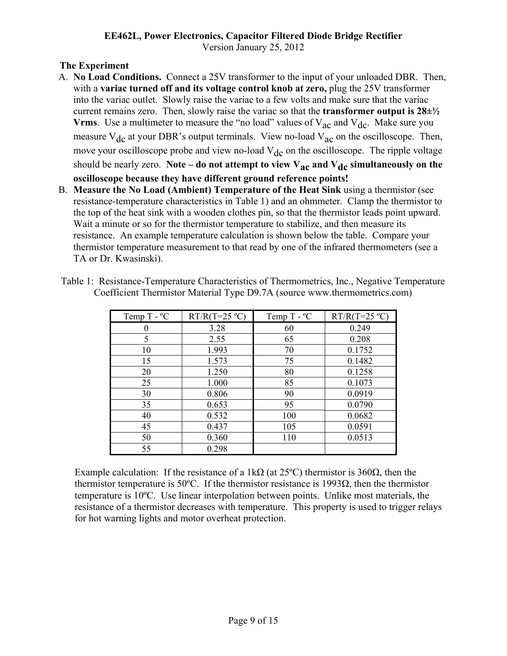## **The Experiment**

- A. **No Load Conditions.** Connect a 25V transformer to the input of your unloaded DBR. Then, with a **variac turned off and its voltage control knob at zero,** plug the 25V transformer into the variac outlet. Slowly raise the variac to a few volts and make sure that the variac current remains zero. Then, slowly raise the variac so that the **transformer output is 28±½ Vrms**. Use a multimeter to measure the "no load" values of  $V_{ac}$  and  $V_{dc}$ . Make sure you measure  $V_{dc}$  at your DBR's output terminals. View no-load  $V_{ac}$  on the oscilloscope. Then, move your oscilloscope probe and view no-load  $V_{dc}$  on the oscilloscope. The ripple voltage should be nearly zero. Note – do not attempt to view  $V_{ac}$  and  $V_{dc}$  simultaneously on the **oscilloscope because they have different ground reference points!**
- B. **Measure the No Load (Ambient) Temperature of the Heat Sink** using a thermistor (see resistance-temperature characteristics in Table 1) and an ohmmeter. Clamp the thermistor to the top of the heat sink with a wooden clothes pin, so that the thermistor leads point upward. Wait a minute or so for the thermistor temperature to stabilize, and then measure its resistance. An example temperature calculation is shown below the table. Compare your thermistor temperature measurement to that read by one of the infrared thermometers (see a TA or Dr. Kwasinski).

| Temp $T - C$ | $RT/R(T=25 °C)$ | Temp $T - C$ | $RT/R(T=25 °C)$ |
|--------------|-----------------|--------------|-----------------|
|              | 3.28            | 60           | 0.249           |
| 5            | 2.55            | 65           | 0.208           |
| 10           | 1.993           | 70           | 0.1752          |
| 15           | 1.573           | 75           | 0.1482          |
| 20           | 1.250           | 80           | 0.1258          |
| 25           | 1.000           | 85           | 0.1073          |
| 30           | 0.806           | 90           | 0.0919          |
| 35           | 0.653           | 95           | 0.0790          |
| 40           | 0.532           | 100          | 0.0682          |
| 45           | 0.437           | 105          | 0.0591          |
| 50           | 0.360           | 110          | 0.0513          |
| 55           | 0.298           |              |                 |

Table 1: Resistance-Temperature Characteristics of Thermometrics, Inc., Negative Temperature Coefficient Thermistor Material Type D9.7A (source www.thermometrics.com)

Example calculation: If the resistance of a 1kΩ (at 25<sup>o</sup>C) thermistor is 360Ω, then the thermistor temperature is 50 $\degree$ C. If the thermistor resistance is 1993 $\Omega$ , then the thermistor temperature is 10ºC. Use linear interpolation between points. Unlike most materials, the resistance of a thermistor decreases with temperature. This property is used to trigger relays for hot warning lights and motor overheat protection.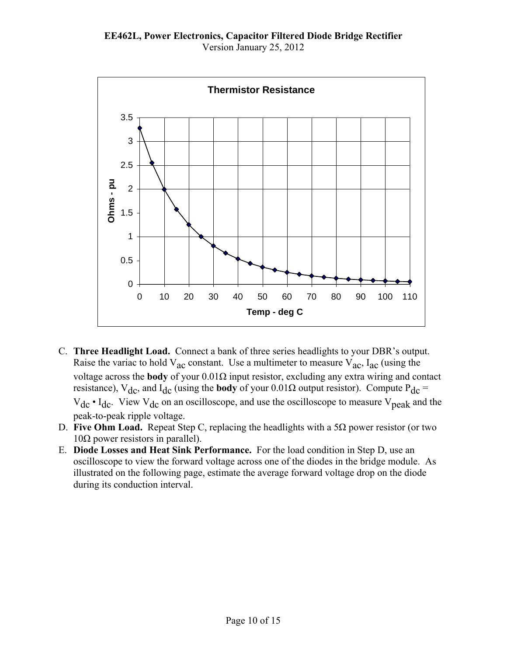**EE462L, Power Electronics, Capacitor Filtered Diode Bridge Rectifier**  Version January 25, 2012



- C. **Three Headlight Load.** Connect a bank of three series headlights to your DBR's output. Raise the variac to hold  $V_{ac}$  constant. Use a multimeter to measure  $V_{ac}$ ,  $I_{ac}$  (using the voltage across the **body** of your 0.01Ω input resistor, excluding any extra wiring and contact resistance), V<sub>dc</sub>, and I<sub>dc</sub> (using the **body** of your 0.01Ω output resistor). Compute P<sub>dc</sub> =  $V_{dc} \cdot I_{dc}$ . View  $V_{dc}$  on an oscilloscope, and use the oscilloscope to measure  $V_{peak}$  and the peak-to-peak ripple voltage.
- D. **Five Ohm Load.** Repeat Step C, replacing the headlights with a 5Ω power resistor (or two  $10Ω$  power resistors in parallel).
- E. **Diode Losses and Heat Sink Performance.** For the load condition in Step D, use an oscilloscope to view the forward voltage across one of the diodes in the bridge module. As illustrated on the following page, estimate the average forward voltage drop on the diode during its conduction interval.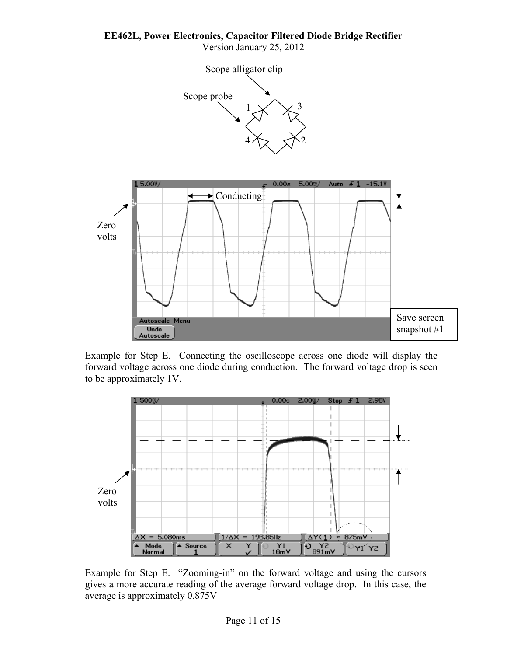**EE462L, Power Electronics, Capacitor Filtered Diode Bridge Rectifier** 

Version January 25, 2012





Example for Step E. Connecting the oscilloscope across one diode will display the forward voltage across one diode during conduction. The forward voltage drop is seen to be approximately 1V.



Example for Step E. "Zooming-in" on the forward voltage and using the cursors gives a more accurate reading of the average forward voltage drop. In this case, the average is approximately 0.875V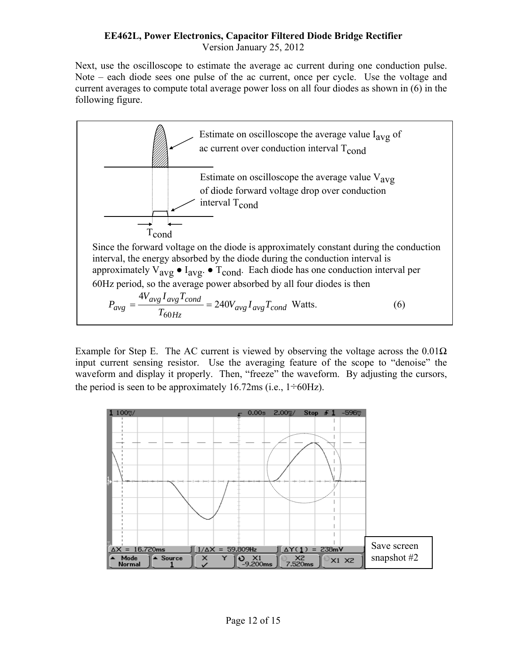Next, use the oscilloscope to estimate the average ac current during one conduction pulse. Note – each diode sees one pulse of the ac current, once per cycle. Use the voltage and current averages to compute total average power loss on all four diodes as shown in (6) in the following figure.



Example for Step E. The AC current is viewed by observing the voltage across the  $0.01\Omega$ input current sensing resistor. Use the averaging feature of the scope to "denoise" the waveform and display it properly. Then, "freeze" the waveform. By adjusting the cursors, the period is seen to be approximately 16.72ms (i.e.,  $1\div 60\text{Hz}$ ).

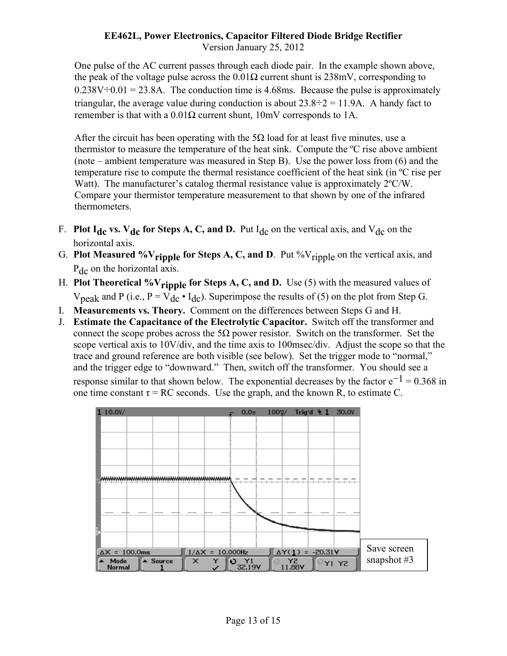One pulse of the AC current passes through each diode pair. In the example shown above, the peak of the voltage pulse across the  $0.01\Omega$  current shunt is 238mV, corresponding to  $0.238V\div0.01 = 23.8A$ . The conduction time is 4.68ms. Because the pulse is approximately triangular, the average value during conduction is about  $23.8\div 2 = 11.9$ A. A handy fact to remember is that with a  $0.01\Omega$  current shunt, 10mV corresponds to 1A.

After the circuit has been operating with the  $5\Omega$  load for at least five minutes, use a thermistor to measure the temperature of the heat sink. Compute the ºC rise above ambient (note – ambient temperature was measured in Step B). Use the power loss from (6) and the temperature rise to compute the thermal resistance coefficient of the heat sink (in ºC rise per Watt). The manufacturer's catalog thermal resistance value is approximately  $2^{\circ}C/W$ . Compare your thermistor temperature measurement to that shown by one of the infrared thermometers.

- F. **Plot I<sub>dc</sub> vs. V<sub>dc</sub> for Steps A, C, and D.** Put I<sub>dc</sub> on the vertical axis, and V<sub>dc</sub> on the horizontal axis.
- G. **Plot Measured %V<sub>ripple</sub> for Steps A, C, and D**. Put %V<sub>ripple</sub> on the vertical axis, and P<sub>dc</sub> on the horizontal axis.
- H. **Plot Theoretical %V**ripple for Steps A, C, and D. Use (5) with the measured values of  $V_{\text{peak}}$  and P (i.e., P =  $V_{\text{dc}} \cdot I_{\text{dc}}$ ). Superimpose the results of (5) on the plot from Step G.
- I. **Measurements vs. Theory.** Comment on the differences between Steps G and H.
- J. **Estimate the Capacitance of the Electrolytic Capacitor.** Switch off the transformer and connect the scope probes across the 5Ω power resistor. Switch on the transformer. Set the scope vertical axis to 10V/div, and the time axis to 100msec/div. Adjust the scope so that the trace and ground reference are both visible (see below). Set the trigger mode to "normal," and the trigger edge to "downward." Then, switch off the transformer. You should see a response similar to that shown below. The exponential decreases by the factor  $e^{-1} = 0.368$  in one time constant  $\tau = RC$  seconds. Use the graph, and the known R, to estimate C.

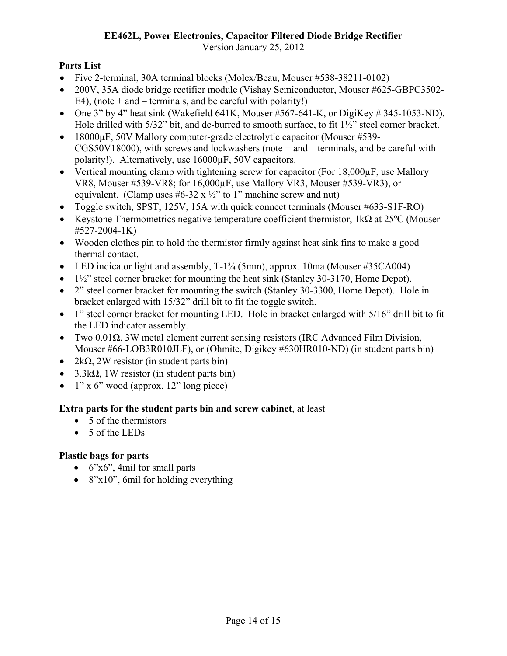# **EE462L, Power Electronics, Capacitor Filtered Diode Bridge Rectifier**

Version January 25, 2012

# **Parts List**

- Five 2-terminal, 30A terminal blocks (Molex/Beau, Mouser #538-38211-0102)
- 200V, 35A diode bridge rectifier module (Vishay Semiconductor, Mouser #625-GBPC3502-  $E4$ ), (note + and – terminals, and be careful with polarity!)
- One 3" by 4" heat sink (Wakefield 641K, Mouser  $#567-641-K$ , or DigiKey  $#345-1053-ND$ ). Hole drilled with 5/32" bit, and de-burred to smooth surface, to fit  $1\frac{1}{2}$ " steel corner bracket.
- 18000 $\mu$ F, 50V Mallory computer-grade electrolytic capacitor (Mouser #539-CGS50V18000), with screws and lockwashers (note + and – terminals, and be careful with polarity!). Alternatively, use 16000µF, 50V capacitors.
- Vertical mounting clamp with tightening screw for capacitor (For 18,000 $\mu$ F, use Mallory VR8, Mouser #539-VR8; for 16,000µF, use Mallory VR3, Mouser #539-VR3), or equivalent. (Clamp uses  $#6-32 \times \frac{1}{2}$ " to 1" machine screw and nut)
- Toggle switch, SPST, 125V, 15A with quick connect terminals (Mouser #633-S1F-RO)
- Keystone Thermometrics negative temperature coefficient thermistor,  $1k\Omega$  at 25<sup>o</sup>C (Mouser #527-2004-1K)
- Wooden clothes pin to hold the thermistor firmly against heat sink fins to make a good thermal contact.
- LED indicator light and assembly,  $T-1\frac{3}{4}$  (5mm), approx. 10ma (Mouser #35CA004)
- 1½" steel corner bracket for mounting the heat sink (Stanley 30-3170, Home Depot).
- 2" steel corner bracket for mounting the switch (Stanley 30-3300, Home Depot). Hole in bracket enlarged with 15/32" drill bit to fit the toggle switch.
- 1" steel corner bracket for mounting LED. Hole in bracket enlarged with 5/16" drill bit to fit the LED indicator assembly.
- Two  $0.01\Omega$ , 3W metal element current sensing resistors (IRC Advanced Film Division, Mouser #66-LOB3R010JLF), or (Ohmite, Digikey #630HR010-ND) (in student parts bin)
- $2k\Omega$ , 2W resistor (in student parts bin)
- $3.3k\Omega$ , 1W resistor (in student parts bin)
- $\bullet$  1" x 6" wood (approx. 12" long piece)

# **Extra parts for the student parts bin and screw cabinet**, at least

- 5 of the thermistors
- 5 of the LEDs

# **Plastic bags for parts**

- $\bullet$  6"x6", 4mil for small parts
- $\bullet$  8"x10", 6mil for holding everything